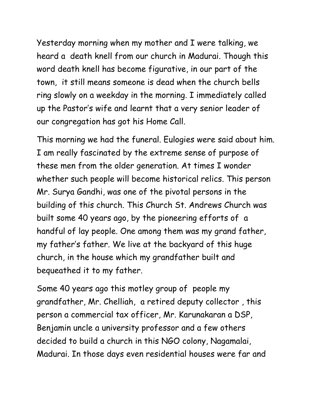Yesterday morning when my mother and I were talking, we heard a death knell from our church in Madurai. Though this word death knell has become figurative, in our part of the town, it still means someone is dead when the church bells ring slowly on a weekday in the morning. I immediately called up the Pastor's wife and learnt that a very senior leader of our congregation has got his Home Call.

This morning we had the funeral. Eulogies were said about him. I am really fascinated by the extreme sense of purpose of these men from the older generation. At times I wonder whether such people will become historical relics. This person Mr. Surya Gandhi, was one of the pivotal persons in the building of this church. This Church St. Andrews Church was built some 40 years ago, by the pioneering efforts of a handful of lay people. One among them was my grand father, my father's father. We live at the backyard of this huge church, in the house which my grandfather built and bequeathed it to my father.

Some 40 years ago this motley group of people my grandfather, Mr. Chelliah, a retired deputy collector , this person a commercial tax officer, Mr. Karunakaran a DSP, Benjamin uncle a university professor and a few others decided to build a church in this NGO colony, Nagamalai, Madurai. In those days even residential houses were far and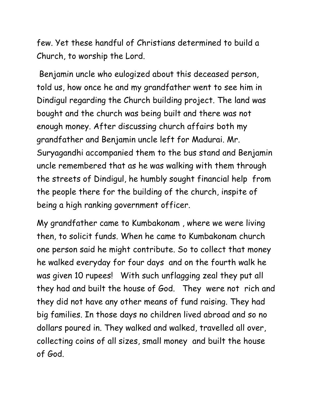few. Yet these handful of Christians determined to build a Church, to worship the Lord.

Benjamin uncle who eulogized about this deceased person, told us, how once he and my grandfather went to see him in Dindigul regarding the Church building project. The land was bought and the church was being built and there was not enough money. After discussing church affairs both my grandfather and Benjamin uncle left for Madurai. Mr. Suryagandhi accompanied them to the bus stand and Benjamin uncle remembered that as he was walking with them through the streets of Dindigul, he humbly sought financial help from the people there for the building of the church, inspite of being a high ranking government officer.

My grandfather came to Kumbakonam , where we were living then, to solicit funds. When he came to Kumbakonam church one person said he might contribute. So to collect that money he walked everyday for four days and on the fourth walk he was given 10 rupees! With such unflagging zeal they put all they had and built the house of God. They were not rich and they did not have any other means of fund raising. They had big families. In those days no children lived abroad and so no dollars poured in. They walked and walked, travelled all over, collecting coins of all sizes, small money and built the house of God.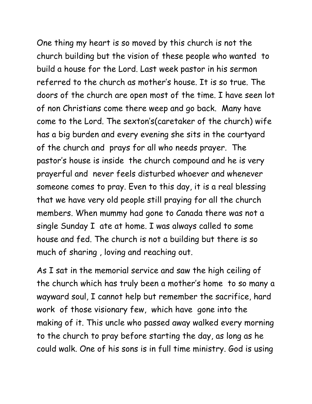One thing my heart is so moved by this church is not the church building but the vision of these people who wanted to build a house for the Lord. Last week pastor in his sermon referred to the church as mother's house. It is so true. The doors of the church are open most of the time. I have seen lot of non Christians come there weep and go back. Many have come to the Lord. The sexton's(caretaker of the church) wife has a big burden and every evening she sits in the courtyard of the church and prays for all who needs prayer. The pastor's house is inside the church compound and he is very prayerful and never feels disturbed whoever and whenever someone comes to pray. Even to this day, it is a real blessing that we have very old people still praying for all the church members. When mummy had gone to Canada there was not a single Sunday I ate at home. I was always called to some house and fed. The church is not a building but there is so much of sharing , loving and reaching out.

As I sat in the memorial service and saw the high ceiling of the church which has truly been a mother's home to so many a wayward soul, I cannot help but remember the sacrifice, hard work of those visionary few, which have gone into the making of it. This uncle who passed away walked every morning to the church to pray before starting the day, as long as he could walk. One of his sons is in full time ministry. God is using